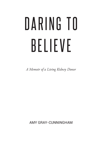# DARING TO BELIEVE

*A Memoir of a Living Kidney Donor*

AMY GRAY-CUNNINGHAM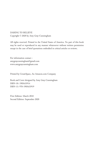DARING TO BELIEVE Copyright © 2020 by Amy Gray-Cunningham

All rights reserved. Printed in the United States of America. No part of this book may be used or reproduced in any manner whatsoever without written permission except in the case of brief quotations embodied in critical articles or reviews.

For information contact : amygraycunningham@gmail.com www.amygraycunningham.com

Printed by CreateSpace, An Amazon.com Company

Book and Cover designed by Amy Gray-Cunningham ISBN-10: 1985633914 ISBN-13: 978-1985633919

First Edition: March 2018 Second Edition: September 2020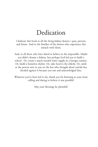### Dedication

I dedicate this book to all the living kidney donors—past, present, and future. And to the families of the donors who experience this miracle with them.

And, to all those who have dared to believe in the impossible. Maybe you didn't donate a kidney, but perhaps God led you to build a school. Or, create a much-needed water supply in a foreign country. Or, build a homeless shelter. Or, take food to the elderly. Or, smile at the person next to you on the bus who thought about suicide but decided against it because you saw and acknowledged him.

Whatever you've been led to do, thank you for listening to your inner calling and daring to believe it was possible!

May your blessings be plentiful!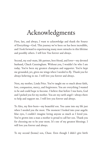### Acknowledgments

First, last, and always, I want to acknowledge and thank the Source of Everything—God. This journey we've been on has been incredible, and I look forward to experiencing many more miracles in this lifetime and possibly others. I will love You forever and always.

Second, my soul-mate, life partner, best friend, and lover—my devoted husband, Chuck Cunningham. Without you, I wouldn't be who I am today. You've been my greatest champion and supporter. You've kept me grounded, yet, given me wings when I needed to fly. Thank you for always believing in me. I will love you forever and always.

Next, my mother, Linda Price. You've taught me so much about faith, love, compassion, mercy, and forgiveness. You are everything I wanted to be and could hope to become. I believe that before I was born, God and I picked you for my mother. You are my earth angel—always there to help and support me. I will love you forever and always.

To Alex, my first-born—my beautiful son. You came into my life just when I needed you the most. The moment I looked into your angelic blue eyes, I couldn't imagine loving anyone as much as I loved you. You've grown into a man a mother is proud to call her son. Thank you for choosing me to be your mom. It's one of my greatest blessings. I will love you forever and always.

To my second (bonus) son, Chase. Even though I didn't give birth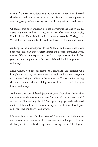to you, I've always considered you my son in every way. I was blessed the day you and your father came into my life, and it's been a pleasure watching you grow into a loving man. I will love you forever and always.

Of course, this book wouldn't be possible without the Ensley family. David, Susanne, Mallory, Leslie, Betty, Jennifer, Sean, Kade, Cole, Randy, Sabra, Katie, Mitch, and to the many extended Ensley, clan. You all have become my family, and I will love you forever and always.

And a special acknowledgment to Liz Williams and Susan Jensen. You both helped me edit chapter after chapter and kept me motivated when needed. Words can't express my thanks and appreciation for all that you've done to help me get this book published. I will love you forever and always.

Dana Cohen, you are my friend and confidant. I'm grateful God brought you into my life. You make me laugh, and you encourage me to continue daring to believe in the impossible. Thank you for reading the book countless times, helping to make it perfect. I will love you forever and always.

And to another special friend, Jessica Magnum. You always believed in me, even from the moment your dog "introduced" us on a walk, and I announced, "I'm writing a book!" You opened my eyes and challenged me to look beyond the obvious and always dare to believe. Thank you, and I will love you forever and always.

My transplant team at Carolinas Medical Center and the all the nurses on the transplant floor—you have my gratitude and appreciation for all that you did to make this experience amazing for me. Thank you!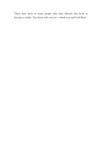There have been so many people who have allowed this book to become a reality. You know who you are—thank you and God bless!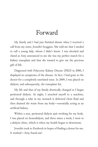### Forward

My family and I had just finished dinner when I received a call from my sister, Jennifer Scoggins. She told me that I needed to call a young lady, whom I didn't know. I was shocked and elated as Amy announced to me she was my perfect match for a kidney transplant and that she wanted to give me the precious gift of life.

Diagnosed with Polycystic Kidney Disease (PKD) in 2000, I displayed no symptoms of the disease. In fact, I had gone to the doctor for a completely unrelated issue. In 2009, I was placed on dialysis, and subsequently, the transplant list.

My life and that of my family drastically changed as I began peritoneal dialysis. At night, I attached myself to a machine, and through a tube in my stomach it delivered clean fluid and then drained the waste from my body—essentially acting as an artificial kidney.

Within a year, peritoneal dialysis quit working for my body. I was placed on hemodialysis, and three times a week, I went to a dialysis clinic, which is when my health began to deteriorate.

Jennifer took to Facebook in hopes of finding a donor for me. It worked—Amy found me!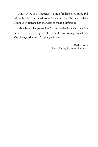Amy's story is a testament to a life of redemption, faith, and triumph. Her continued commitment to the National Kidney Foundation reflects her character to make a difference.

Miracles do happen—Amy's book is the formula of such a miracle. Through the grace of God, and Amy's courage to believe, she changed the life of a stranger forever.

> David Ensley Amy's Kidney Donation Recipient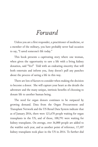### *Forward*

Unless you are a first responder, a practitioner of medicine, or a member of the military, you have probably never had occasion to say, "I saved someone's life today."

This book presents a captivating story where one woman, when given the opportunity to save a life with a living kidney donation, said "Yes!" Told with an endearing sincerity that will both entertain and inform you, Amy doesn't pull any punches about the process of saving a life in this way.

There are lots of factors to consider when making the decision to become a donor. She will capture your heart as she details the adventure and the many unique, intrinsic benefits of choosing to donate life to another human being.

The need for organ donors continues to be outpaced by growing demand. Data from the Organ Procurement and Transplant Network and the US Renal Data System indicate that as of January 2016, there were 121,678 people waiting for organ transplants in the US, and of those, 100,791 were waiting for kidney transplants. On average, over 36,000 people are added to the waitlist each year, and as another point of reference, 17,107 kidney transplants took place in the US in 2014. To further dial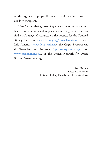up the urgency, 13 people die each day while waiting to receive a kidney transplant.

If you're considering becoming a living donor, or would just like to learn more about organ donation in general, you can find a wide range of resources on the websites for the National Kidney Foundation (**www.kidney.org/transplantation**), Donate Life America (**www.donatelife.net**), the Organ Procurement & Transplantation Network (**optn.transplant.hrsa.gov** or **www.organdonor.gov**), or the United Network for Organ Sharing (www.unos.org).

> Rob Hayden Executive Director National Kidney Foundation of the Carolinas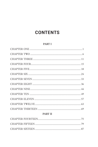### **CONTENTS**

#### **PART I**

#### **PART II**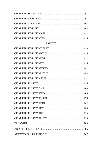#### PART III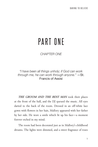# PART ONE

*CHAPTER ONE*

*"I have been all things unholy; if God can work through me, he can work through anyone."* —St. Francis of Assisi

*THE GROOM AND THE BEST MAN* took their places at the front of the hall, and the DJ queued the music. All eyes darted to the back of the room. Dressed in an off-white lace gown with flowers in her hair, Mallory appeared with her father by her side. He wore a smile which lit up his face—a moment forever etched in my mind.

The room had been decorated just as in Mallory's childhood dreams. The lights were dimmed, and a sweet fragrance of roses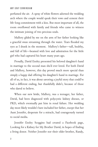perfumed the air. A spray of white flowers adorned the wedding arch where the couple would speak their vows and cement their life-long commitment with a kiss. But most important of all, the room overflowed with family and friends who came to witness the intimate joining of two precious souls.

Mallory glided by me on the arm of her father looking like a graceful swan streaming through the water. Tears flooded my eyes as I drank in the moment. Mallory's father—tall, healthy, and full of life—beamed with love and admiration for the little girl who had captured his heart many years ago.

Proudly, David Ensley presented his beloved daughter's hand in marriage to the second man she'd ever loved. For both David and Mallory, however, this day proved much more special than simply a happy dad offering his daughter's hand in marriage. For all of us, in fact, it was about savoring a joyful story that could've had a different ending, but thankfully didn't, because of those who dared to believe.

When our new bride, Mallory, was a teenager, her father, David, had been diagnosed with polycystic kidney disease, or PKD, which eventually put him in renal failure. Her wedding day most likely wouldn't have included her father, except that her Aunt Jennifer, desperate for a miracle, had courageously turned to social media.

Jennifer Ensley Scoggins had created a Facebook page, Looking for a Kidney for My Brother David, in hopes of finding a living donor. Neither Jennifer nor their older brother, Randy,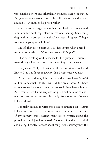were eligible donors, and other family members were not a match. But Jennifer never gave up hope. She believed God would provide a miracle—an angel to help her brother.

Our connection began when Chuck, my husband, casually read Jennifer's Facebook page aloud to me one evening. Something deep within me stirred and with all my heart, I replied, "I hope someone steps up to help him."

My life then took a dramatic 180-degree turn when I heard from out of nowhere—*"Amy, that person will be you!"* 

I had been asking God to use me for His purpose. However, I never thought He'd ask me to do something so outrageous.

On July 6, 2011, I donated a life-saving kidney to David Ensley. It is this fantastic journey that I share with you now.

As an organ donor, I became a perfect match—a 1-in-20 million to be exact—to this man I didn't even know. Our body types were such a close match that we could have been siblings. As a result, David now requires only a small amount of antirejection medication to keep his body from rejecting the new kidney I donated.

I initially decided to write this book to educate people about kidney donation and the process I went through. At the time of my surgery, there weren't many books written about the procedure, and I just love books! The ones I found were clinical and boring. I wanted to write about my personal journey with the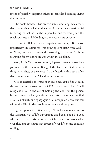intent of possibly inspiring others to consider becoming living donors, as well.

The book, however, has evolved into something much more than a story about a kidney donation. It has become a testimonial to daring to believe in the impossible and watching for the synchronicities in life leading you to your divine purpose.

Daring to Believe is an inspiring love story. But most importantly, it's about my ever-growing love affair with God or "Papa," as I call Him—and discovering that what I've been searching for my entire life was within me all along.

God, Allah, Tao, Source, Adoni, Papa—it doesn't matter how you refer to the Supreme Being of the Universe. God is not a thing, or a place, or a concept. It's the breath within each of us that connects us to the All and to one another.

God is accessible in everyone at any time. You'll find Him in the vagrant on the street or the CEO in the corner office. You'll recognize Him in the act of holding the door for the person behind you or the hug you give a friend. You may or may not find Him in a church or a synagogue or a mosque or a bar, but you will notice Him in the people who frequent those places.

I grew up as a Christian, and you'll find many references to the Christian way of life throughout this book. But I beg you, whether you are Christian or a non-Christian—no matter what your thoughts are about that aspect of your life, please continue reading!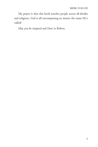My prayer is that this book touches people across all divides and religions. God is all-encompassing no matter the name He's called!

May you be inspired and Dare to Believe.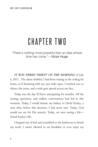## CHAPTER TWO

*"There's nothing more powerful than an idea whose time has come."—*Victor Hugo

*IT WAS THREE-THIRTY ON THE MORNING* of July 6, 2011. The alarm shrilled. I had been staring at the ceiling for hours, as if dreaming with my eyes wide-open. I reached over to silence the noise, and a wide grin spread across my face.

Today was the day I'd been anticipating for months. All the testing, questions, and endless conversations had led to this moment. Today, I would donate my kidney to David Ensley, a man who, before this decision, I had never met. Today, God would use me for His miracle. Today, we were saving a life— David Ensley's life.

I hopped out of bed and scrambled to the bathroom to brush my teeth. I wasn't allowed to eat breakfast or even enjoy my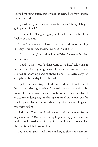beloved morning coffee, but I would, at least, have fresh breath and clean teeth.

I yelled to my motionless husband, Chuck, "Honey, let's get going. Out of bed!"

He mumbled, "I'm getting up," and tried to pull the blankets back over this head.

"Now," I commanded. How could he even think of sleeping in today? I wondered, shaking my head in disbelief.

"I'm up. I'm up," he said kicking off the blankets as his feet hit the floor.

"Good," I muttered, "I don't want to be late." Although if we were late for anything, it usually wasn't because of Chuck. He had an annoying habit of always being 10 minutes early for everything. But today I must be early.

I pulled on blue striped shorts and a white cotton T-shirt I had laid out the night before. I wanted casual and comfortable. Remembering instructions not to bring anything valuable, I placed my wedding rings in the top drawer of my jewelry box for safe keeping. I hadn't removed these rings since our wedding day, two years before.

Although, Chuck and I had only married two years earlier on September 26, 2009, our love story began twenty years before as high school sweethearts. As my first love, I can still remember the first time I laid eyes on him.

My brother, James, and I were walking to the store when this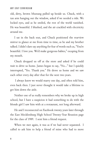old, dirty, brown Mustang pulled up beside us. Chuck, with a tan arm hanging out the window, asked if we needed a ride. We locked eyes, and as he smiled, the rest of the world vanished. He was beautiful. I blushed, and the air crackled with electricity around me.

I sat in the back seat, and Chuck positioned the rearview mirror to glance at me from time to time, as he and my brother talked. I didn't dare say anything for fear of words such as, "You're beautiful. I love you. We'd make gorgeous babies," escaping from my mouth.

Chuck dropped us off at the store and asked if he could wait to drive us home. James began to say, "No…" but I quickly interrupted, "Yes. Thank you." He drove us home and we saw each other every day after that for the next two years.

 I always knew we would marry one day, and often told him, even back then. I just never thought it would take a lifetime to get him down the aisle.

Neither one of us really remembers why we broke up in high school, but I have a suspicion it had something to do with the blonde girl I saw him with at a restaurant, not long afterward.

He and I reconnected on Facebook twenty years later through the East Mecklenburg High School Twenty-Year Reunion page for the class of 1989. I sent him a friend request.

When we met again, it was as if we had never separated. I called to ask him to help a friend of mine who had to move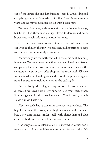out of the house she and her husband shared. Chuck dropped everything—no questions asked. Our first "date" in over twenty years, and he moved furniture which wasn't even mine.

We were older now, with more wrinkles and heavier baggage, but he still had those luscious lips I loved to devour, and deep, brown eyes which held my attention for hours.

Over the years, many points of intersection had occurred in our lives, as though the universe had been pulling strings to keep us close until we were ready to connect.

For several years, we both worked in the same bank building in uptown. We were on separate floors and employed by different companies, but somehow, we never ran into each other on the elevators or even in the coffee shop on the main level. We also worked in adjacent buildings in another local complex, and again, never bumped into each other even in the parking lot.

But probably the biggest surprise of all was when we discovered we lived only a few hundred feet from each other. From my garage, I had an excellent view of Chuck's patio, though I didn't know it was his.

Also, we each had a son from previous relationships. The boys knew each other from junior high school and rode the same bus. They even looked similar—tall, with blonde hair and blue eyes, and both were born in June but one year apart.

God's ways are miraculous to me. He knew when Chuck and I were dating in high school that we were perfect for each other. We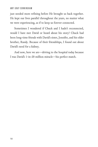just needed more refining before He brought us back together. He kept our lives parallel throughout the years, no matter what we were experiencing, as if to keep us forever connected.

Sometimes I wondered if Chuck and I hadn't reconnected, would I have met David or heard about his story? Chuck had been long-time friends with David's sister, Jennifer, and his older brother, Randy. Because of their friendships, I found out about David's need for a kidney.

And now, here we are—driving to the hospital today because I was David's 1-in-20 million miracle—his perfect match.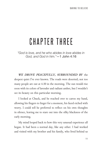# CHAPTER THREE

*"God is love, and he who abides in love abides in God, and God in him."*—1 John 4:16

*WE DROVE PEACEFULLY, SURROUNDED BY* the deepest quiet I've ever known. The roads were deserted; not too many people are out at 4:30 in the morning. The sun would rise soon with its colors of lavender and radiant amber, but I wouldn't see its beauty on this particular morning.

I looked at Chuck, and he reached over to caress my hand, allowing his fingers to linger for a moment, his faced etched with worry. I could tell he preferred to reflect on his own thoughts in silence, leaving me to stare out into the silky blackness of the early morning.

My mind looped back to how this very unusual experience all began. It had been a normal day, like any other. I had worked and visited with my brother and his family, who lived behind us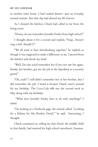in another town home. I had cooked dinner—just an everyday normal routine. But that day had altered my life forever.

As I cleaned the kitchen, Chuck had called to me from the living room.

"Honey, do you remember Jennifer Ensley from high school?"

I thought about it for a second and replied, "Nope. Doesn't ring a bell. Should I?"

"We all went to East Mecklenburg together," he replied, as though it was supposed to make a difference to me. I peered from the kitchen and shook my head.

"Well, I'm sure you'd remember her if you ever saw her again. Randy, her brother, got me the job at the Speedway as a security guard."

"Oh, yeah!" I still didn't remember her or her brother, but I did remember the job. I hated it because Chuck wasn't around for my birthday. The Coca-Cola 600 was the second week in May along with my birthday.

 "What does Jennifer Ensley have to do with anything?" I asked.

"I'm looking at a Facebook page she started called, 'Looking for a Kidney for My Brother David,'" he said. Interesting, I thought.

Chuck continued on, telling me that David, the middle child in that family, had married his high school sweetheart, Susanne.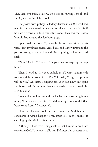They had two girls, Mallory, who was in nursing school, and Leslie, a senior in high school.

Diagnosed with polycystic kidney disease in 2000, David was now in complete renal failure and on dialysis but would die if he didn't receive a kidney transplant soon. This was the reason Jennifer had created the Facebook page.

I pondered the story. My heart broke for those girls and his wife. I lost my father several years back, and I knew firsthand the pain of losing a parent. I would give anything to have my dad back.

"Wow," I said. "How sad. I hope someone steps up to help him."

Then I heard it. It was as audible as if I were talking with someone right in front of me. The Voice said, "Amy, that person will be you." An intense tingling sensation ran down my spine and burned within my soul. Instantaneously, I knew I would be David's donor.

I remember looking around the kitchen and screaming in my mind, "Um, excuse me? WHAT did you say? Where did that Voice come from?" I wondered.

I have heard about people hearing things from God, but never considered it would happen to me, much less in the middle of cleaning up the kitchen after dinner.

Although I have "felt" things before that I knew in my heart were from God, I'd never actually heard Him, as if in conversation.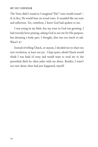The Voice didn't sound as I imagined "His" voice would sound if, in fact, He would have an actual voice. It sounded like my tone and inflection. Yet, somehow, I knew God had spoken to me.

I was young in my faith, but my trust in God was growing. I had recently been praying, asking God to use me for His purpose, but donating a body part, I thought, that was too much to ask. Wasn't it?

Instead of telling Chuck, or anyone, I decided not to share my new revelation, at least not yet. I kept quiet, afraid Chuck would think I was kind of crazy and would want to send me to the proverbial ditch he often jokes with me about. Besides, I wasn't too sure about what had just happened, myself.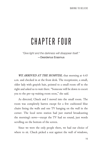# CHAPTER FOUR

*"Give light and the darkness will disappear itself."*  —Desiderius Erasmus

*WE ARRIVED AT THE HOSPITAL* that morning at 4:45 a.m. and checked in at the front desk. The receptionist, a small, older lady with grayish hair, pointed to a small room off to the right and asked us to wait there. "Someone will be down to escort you to the pre-op waiting room soon," she said.

As directed, Chuck and I moved into the small room. The room was completely barren except for a few cushioned blue chairs lining the walls and one TV hanging on the wall in the corner. The local news station had just started broadcasting the morning's news—except the TV had no sound, just words scrolling on the bottom of the screen.

Since we were the only people there, we had our choice of where to sit. Chuck picked a seat against the wall of windows,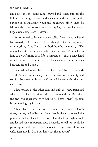and I took the one beside him. I turned and looked out into the lightless morning. Doctors and nurses meandered in from the parking deck, and a janitor mopped the entrance floor. Then, he laid out the day's welcome mat. Still quiet, the hospital slowly began awakening from its dreams.

As we waited to hear my name called, I wondered if David had arrived yet. Of course, he had, I thought. David's always early for everything. Like Chuck, they both lived by the motto, "If I'm not at least fifteen minutes early, then, I'm late!" Personally, as long as I wasn't more than fifteen minutes late, than I considered myself on time—the perfect catalyst for a few annoying arguments between me and Chuck.

I smiled as I remembered the first time I had spoken with David. Almost immediately, we felt a sense of familiarity and comfort between us. It was as if we had known each other our entire lives.

I had passed all the other tests and only the MRI remained which determined the kidney the doctors would use. But, since the test was expensive, they wanted to know David's opinion before moving any further.

Chuck had found the home number for Jennifer, David's sister, online, and called her. Sean, her husband, answered the phone. Chuck explained he'd known Jennifer from high school, and he had some important news he needed to tell her; could he please speak with her? Uneasy about a strange man calling his wife, Sean asked, "Can I tell her what this is about?"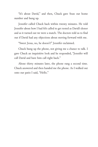"It's about David," and then, Chuck gave Sean our home number and hung up.

Jennifer called Chuck back within twenty minutes. He told Jennifer about how I had felt called to get tested as David's donor and as it turned out we were a match. The doctors told us to find out if David had any objections about moving forward with me.

"Sweet Jesus, no, he doesn't!" Jennifer exclaimed.

Chuck hung up the phone, not giving me a chance to talk. I gave Chuck an inquisitive look and he responded, "Jennifer will call David and have him call right back."

About thirty minutes later, the phone rang a second time. Chuck answered and then handed me the phone. As I walked out onto our patio I said, "Hello."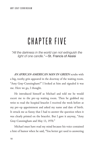# CHAPTER FIVE

*"All the darkness in the world can not extinguish the light of one candle."*—St. Francis of Assisi

*AN AFRICAN-AMERICAN MAN IN GREEN* scrubs with a big, toothy grin appeared in the doorway of the waiting room. "Amy Gray-Cunningham?" I looked at him and signaled it was me. Here we go, I thought.

He introduced himself as Michael and told me he would escort me to the pre-op waiting room. Then he grabbed my wrist to read the hospital bracelet I received the week before at my pre-op appointment and asked my name and date of birth. It struck me as funny that I had to answer the question when it was clearly printed on the bracelet. But I gave it anyway, "Amy Gray-Cunningham and May 13, 1970."

Michael must have read my mind because his voice contained a hint of humor when he said, "You better get used to answering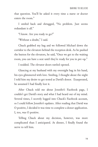that question. You'll be asked it every time a nurse or doctor enters the room."

I smiled back and shrugged, "No problem. Just seems redundant is all."

"I know. Are you ready to go?"

"Without a doubt," I said.

Chuck grabbed my bag and we followed Michael down the corridor to the elevators behind the reception desk. As he pushed the button for the elevators, he said, "Once we get to the waiting room, you can have a seat until they're ready for you in pre-op."

I nodded. The elevator doors rattled opened.

Glancing at my husband with my overnight bag in his hand, his eyes glimmered with love. Smiling, I thought about the night I told him my desire to get tested as David's donor. Exasperated, he assumed I had finally lost it.

After Chuck told me about Jennifer's Facebook page, I couldn't get David's story and what I had heard out of my mind. Several times, I secretly logged into Chuck's Facebook account, so I could follow Jennifer's updates. After reading that David was O positive, I decided it was time to complete a donor application. I, too, was O positive.

Telling Chuck about my decision, however, was more complicated than I anticipated. At dinner, I finally found the nerve to tell him.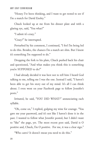"Honey I've been thinking, and I want to get tested to see if I'm a match for David Ensley."

Chuck looked up at me from his dinner plate and with a glaring eye, said, "You what?"

"I admit it's crazy."

"Crazy?" he interrupted.

Perturbed by his comment, I continued, "I feel I'm being led to do this. Besides, the chances I'm a match are slim. But I know it's something I'm supposed to do."

Dropping the fork to his plate, Chuck pushed back his chair and questioned, "And what makes you think this is something you're SUPPOSED to do?"

I had already decided it was best not to tell him I heard God talking to me, telling me I was the one. Instead I said, "I haven't been able to get his story out of my mind. It's all I can think about. I even went on your Facebook page to follow Jennifer's posts."

Irritated, he said, "YOU DID WHAT?" annunciating each syllable.

"Oh, come on," I replied, gulping my wine for courage. "You gave me your password, and it's not like I haven't done it in the past. I wanted to follow what Jennifer posted, but I didn't want to "like" the page, yet. The most recent post said, David is O positive and, Chuck, I'm O positive. For me, it was a clear sign."

"Who cares? It doesn't mean you need to do this."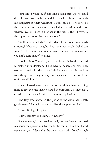"You said it yourself, if someone doesn't step up, he could die. He has two daughters, and if I can help him dance with his daughters at their weddings, I want to. No, I need to do this. Besides, I've been researching kidney donation, and if for whatever reason I needed a kidney in the future, then, I move to the top of the donor list for a new one."

"Well, just wonderful! But, what if one our boys needs a kidney? Have you thought about how you would feel if you weren't able to give them one because you gave one to someone you don't even know?" he asked.

I looked into Chuck's eyes and grabbed his hand. I needed to make him understand. "I just have to believe and have faith God will provide for them. I can't decide not to do this based on something which may or may not happen in the future. How selfish would I be?"

Chuck looked away—not because he didn't have anything more to say. He just knew it would be pointless. The next day I called the Transplant Clinic to request an application.

The lady who answered the phone at the clinic had a soft, gentle voice: "And who would you like the application for?"

"David Ensley," I replied.

"May I ask how you know Mr. Ensley?"

For a moment, I considered my reply because I wasn't prepared to answer the question. What would she think if I told her David was a stranger? I decided to be honest and said, "David's a high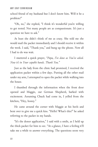school friend of my husband but I don't know him. Will it be a problem?"

"Oh, no," she replied, "I think it's wonderful you're willing to get tested. Not many people are as compassionate. It's just a question we have to ask."

At least she didn't think of me as crazy. She told me she would mail the packet immediately and I should receive it within the week. I said, "Thank you," and hung up the phone. Now all I had to do was wait.

I muttered a quick prayer, *"Papa, I've done as You've asked. Now it's in Your capable hands. Thank You."*

Just as the lady from the clinic had promised, I received the application packet within a few days. Putting all the other mail under my arm, I attempted to open the packet while walking into the house.

I thumbed through the information when the front door opened and Maggie, our German Shepherd, barked with excitement. Assuming Chuck had come in, I yelled from the kitchen, "Hey, honey."

He came around the corner with Maggie at his heels and bent over to give me a quick kiss. "Hello! What's this?" he asked referring to the packet in my hands.

"It's the donor application," I said with a smile, as I held up the thick packet for him to see. "At a glance, I have a feeling it'll take me a while to answer everything. The questions seem very